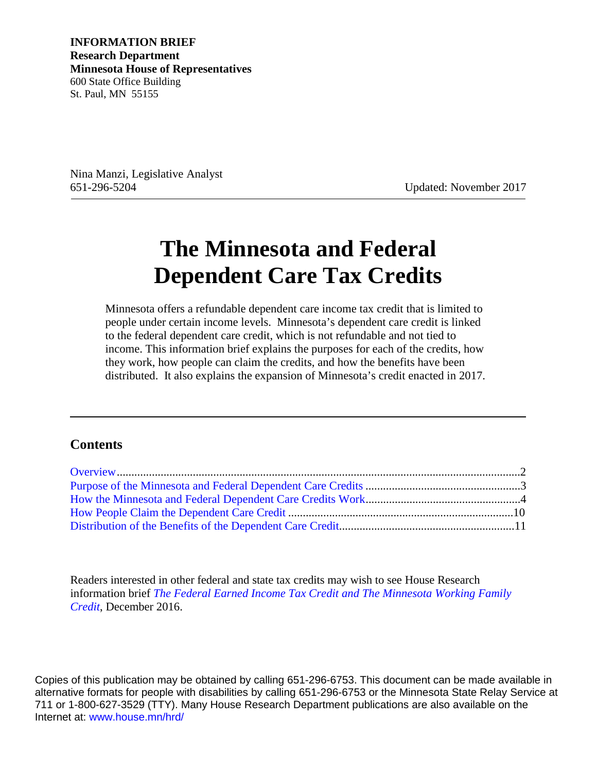**INFORMATION BRIEF Research Department Minnesota House of Representatives** 600 State Office Building St. Paul, MN 55155

Nina Manzi, Legislative Analyst 651-296-5204 Updated: November 2017

# **The Minnesota and Federal Dependent Care Tax Credits**

Minnesota offers a refundable dependent care income tax credit that is limited to people under certain income levels. Minnesota's dependent care credit is linked to the federal dependent care credit, which is not refundable and not tied to income. This information brief explains the purposes for each of the credits, how they work, how people can claim the credits, and how the benefits have been distributed. It also explains the expansion of Minnesota's credit enacted in 2017.

#### **Contents**

Readers interested in other federal and state tax credits may wish to see House Research information brief *[The Federal Earned Income Tax Credit and The Minnesota Working Family](http://www.house.leg.state.mn.us/hrd/pubs/feicwfc.pdf)  [Credit](http://www.house.leg.state.mn.us/hrd/pubs/feicwfc.pdf)*, December 2016.

Copies of this publication may be obtained by calling 651-296-6753. This document can be made available in alternative formats for people with disabilities by calling 651-296-6753 or the Minnesota State Relay Service at 711 or 1-800-627-3529 (TTY). Many House Research Department publications are also available on the Internet at: [www.house.mn/hrd/](http://www.house.mn/hrd/)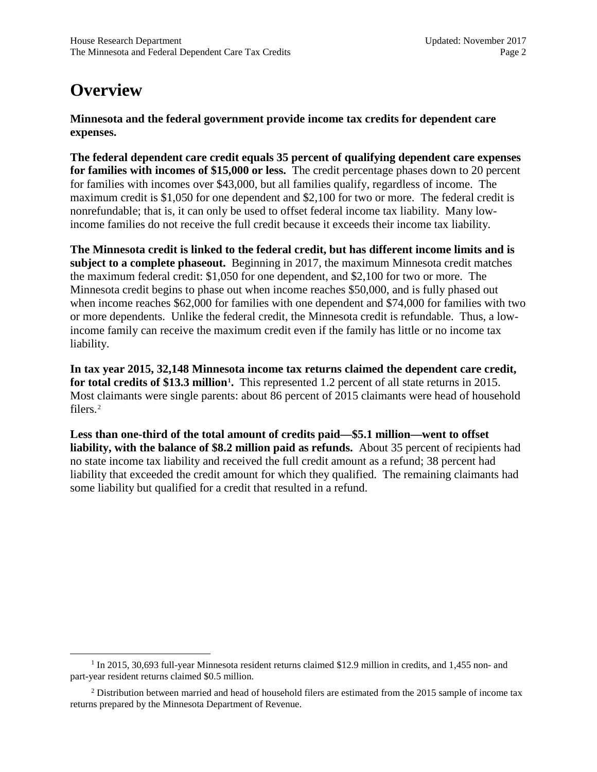# <span id="page-1-0"></span>**Overview**

**Minnesota and the federal government provide income tax credits for dependent care expenses.**

**The federal dependent care credit equals 35 percent of qualifying dependent care expenses for families with incomes of \$15,000 or less.** The credit percentage phases down to 20 percent for families with incomes over \$43,000, but all families qualify, regardless of income. The maximum credit is \$1,050 for one dependent and \$2,100 for two or more. The federal credit is nonrefundable; that is, it can only be used to offset federal income tax liability. Many lowincome families do not receive the full credit because it exceeds their income tax liability.

**The Minnesota credit is linked to the federal credit, but has different income limits and is subject to a complete phaseout.** Beginning in 2017, the maximum Minnesota credit matches the maximum federal credit: \$1,050 for one dependent, and \$2,100 for two or more. The Minnesota credit begins to phase out when income reaches \$50,000, and is fully phased out when income reaches \$62,000 for families with one dependent and \$74,000 for families with two or more dependents. Unlike the federal credit, the Minnesota credit is refundable. Thus, a lowincome family can receive the maximum credit even if the family has little or no income tax liability.

**In tax year 2015, 32,148 Minnesota income tax returns claimed the dependent care credit, for total credits of \$13.3 million[1](#page-1-1) .** This represented 1.2 percent of all state returns in 2015. Most claimants were single parents: about 86 percent of 2015 claimants were head of household filers.<sup>[2](#page-1-2)</sup>

**Less than one-third of the total amount of credits paid—\$5.1 million—went to offset liability, with the balance of \$8.2 million paid as refunds.** About 35 percent of recipients had no state income tax liability and received the full credit amount as a refund; 38 percent had liability that exceeded the credit amount for which they qualified. The remaining claimants had some liability but qualified for a credit that resulted in a refund.

<span id="page-1-1"></span><sup>&</sup>lt;sup>1</sup> In 2015, 30,693 full-year Minnesota resident returns claimed \$12.9 million in credits, and 1,455 non- and part-year resident returns claimed \$0.5 million.

<span id="page-1-2"></span> $2$  Distribution between married and head of household filers are estimated from the 2015 sample of income tax returns prepared by the Minnesota Department of Revenue.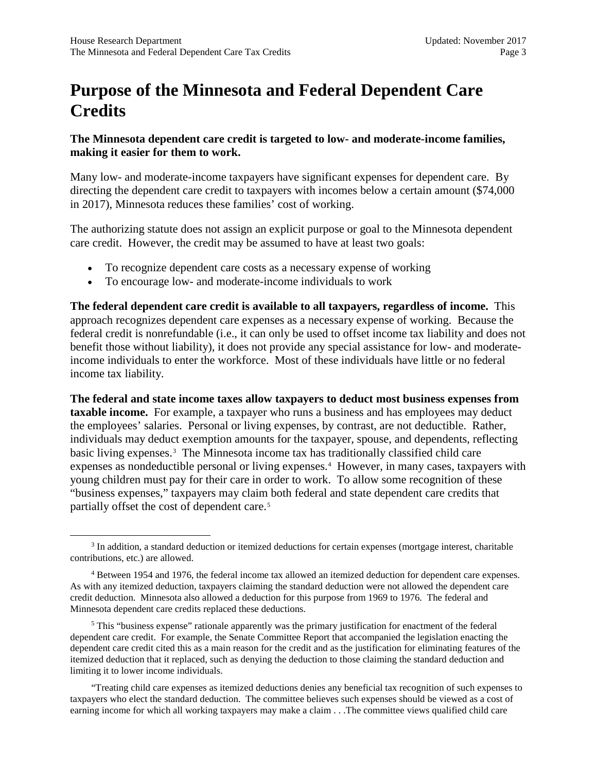# <span id="page-2-0"></span>**Purpose of the Minnesota and Federal Dependent Care Credits**

#### **The Minnesota dependent care credit is targeted to low- and moderate-income families, making it easier for them to work.**

Many low- and moderate-income taxpayers have significant expenses for dependent care. By directing the dependent care credit to taxpayers with incomes below a certain amount (\$74,000 in 2017), Minnesota reduces these families' cost of working.

The authorizing statute does not assign an explicit purpose or goal to the Minnesota dependent care credit. However, the credit may be assumed to have at least two goals:

- To recognize dependent care costs as a necessary expense of working
- To encourage low- and moderate-income individuals to work

**The federal dependent care credit is available to all taxpayers, regardless of income.** This approach recognizes dependent care expenses as a necessary expense of working. Because the federal credit is nonrefundable (i.e., it can only be used to offset income tax liability and does not benefit those without liability), it does not provide any special assistance for low- and moderateincome individuals to enter the workforce. Most of these individuals have little or no federal income tax liability.

**The federal and state income taxes allow taxpayers to deduct most business expenses from taxable income.** For example, a taxpayer who runs a business and has employees may deduct the employees' salaries. Personal or living expenses, by contrast, are not deductible. Rather, individuals may deduct exemption amounts for the taxpayer, spouse, and dependents, reflecting basic living expenses.<sup>[3](#page-2-1)</sup> The Minnesota income tax has traditionally classified child care expenses as nondeductible personal or living expenses.<sup>[4](#page-2-2)</sup> However, in many cases, taxpayers with young children must pay for their care in order to work. To allow some recognition of these "business expenses," taxpayers may claim both federal and state dependent care credits that partially offset the cost of dependent care.<sup>[5](#page-2-3)</sup>

<span id="page-2-3"></span><sup>5</sup> This "business expense" rationale apparently was the primary justification for enactment of the federal dependent care credit. For example, the Senate Committee Report that accompanied the legislation enacting the dependent care credit cited this as a main reason for the credit and as the justification for eliminating features of the itemized deduction that it replaced, such as denying the deduction to those claiming the standard deduction and limiting it to lower income individuals.

"Treating child care expenses as itemized deductions denies any beneficial tax recognition of such expenses to taxpayers who elect the standard deduction. The committee believes such expenses should be viewed as a cost of earning income for which all working taxpayers may make a claim . . .The committee views qualified child care

<span id="page-2-1"></span><sup>3</sup> In addition, a standard deduction or itemized deductions for certain expenses (mortgage interest, charitable contributions, etc.) are allowed.

<span id="page-2-2"></span><sup>4</sup> Between 1954 and 1976, the federal income tax allowed an itemized deduction for dependent care expenses. As with any itemized deduction, taxpayers claiming the standard deduction were not allowed the dependent care credit deduction. Minnesota also allowed a deduction for this purpose from 1969 to 1976. The federal and Minnesota dependent care credits replaced these deductions.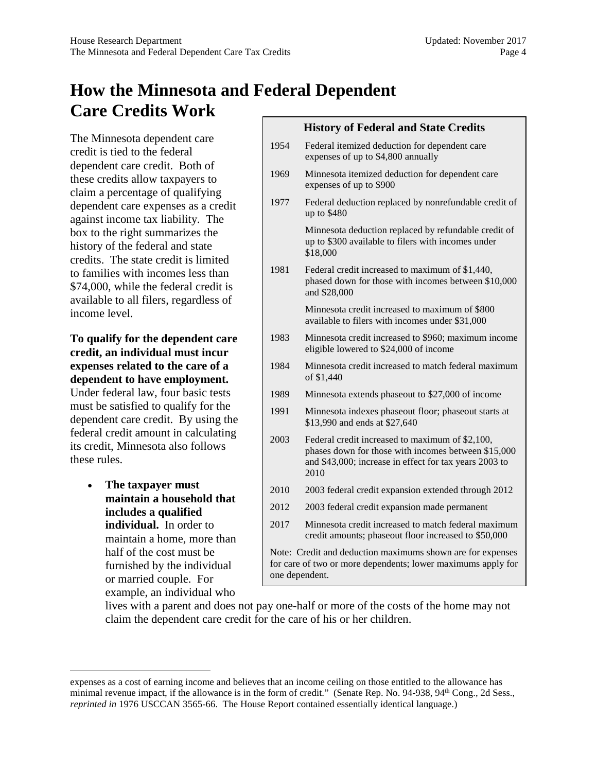# <span id="page-3-0"></span>**How the Minnesota and Federal Dependent Care Credits Work**

The Minnesota dependent care credit is tied to the federal dependent care credit. Both of these credits allow taxpayers to claim a percentage of qualifying dependent care expenses as a credit against income tax liability. The box to the right summarizes the history of the federal and state credits. The state credit is limited to families with incomes less than \$74,000, while the federal credit is available to all filers, regardless of income level.

#### **To qualify for the dependent care credit, an individual must incur expenses related to the care of a dependent to have employment.**

Under federal law, four basic tests must be satisfied to qualify for the dependent care credit. By using the federal credit amount in calculating its credit, Minnesota also follows these rules.

> • **The taxpayer must maintain a household that includes a qualified individual.** In order to maintain a home, more than half of the cost must be furnished by the individual or married couple. For example, an individual who

|                                                                                                                                              | <b>History of Federal and State Credits</b>                                                                                                                              |  |
|----------------------------------------------------------------------------------------------------------------------------------------------|--------------------------------------------------------------------------------------------------------------------------------------------------------------------------|--|
| 1954                                                                                                                                         | Federal itemized deduction for dependent care<br>expenses of up to \$4,800 annually                                                                                      |  |
| 1969                                                                                                                                         | Minnesota itemized deduction for dependent care<br>expenses of up to \$900                                                                                               |  |
| 1977                                                                                                                                         | Federal deduction replaced by nonrefundable credit of<br>up to \$480                                                                                                     |  |
|                                                                                                                                              | Minnesota deduction replaced by refundable credit of<br>up to \$300 available to filers with incomes under<br>\$18,000                                                   |  |
| 1981                                                                                                                                         | Federal credit increased to maximum of \$1,440,<br>phased down for those with incomes between \$10,000<br>and \$28,000                                                   |  |
|                                                                                                                                              | Minnesota credit increased to maximum of \$800<br>available to filers with incomes under \$31,000                                                                        |  |
| 1983                                                                                                                                         | Minnesota credit increased to \$960; maximum income<br>eligible lowered to \$24,000 of income                                                                            |  |
| 1984                                                                                                                                         | Minnesota credit increased to match federal maximum<br>of \$1,440                                                                                                        |  |
| 1989                                                                                                                                         | Minnesota extends phaseout to \$27,000 of income                                                                                                                         |  |
| 1991                                                                                                                                         | Minnesota indexes phaseout floor; phaseout starts at<br>\$13,990 and ends at \$27,640                                                                                    |  |
| 2003                                                                                                                                         | Federal credit increased to maximum of \$2,100,<br>phases down for those with incomes between \$15,000<br>and \$43,000; increase in effect for tax years 2003 to<br>2010 |  |
| 2010                                                                                                                                         | 2003 federal credit expansion extended through 2012                                                                                                                      |  |
| 2012                                                                                                                                         | 2003 federal credit expansion made permanent                                                                                                                             |  |
| 2017                                                                                                                                         | Minnesota credit increased to match federal maximum<br>credit amounts; phaseout floor increased to \$50,000                                                              |  |
| Note: Credit and deduction maximums shown are for expenses<br>for care of two or more dependents; lower maximums apply for<br>one dependent. |                                                                                                                                                                          |  |

lives with a parent and does not pay one-half or more of the costs of the home may not claim the dependent care credit for the care of his or her children.

expenses as a cost of earning income and believes that an income ceiling on those entitled to the allowance has minimal revenue impact, if the allowance is in the form of credit." (Senate Rep. No. 94-938, 94<sup>th</sup> Cong., 2d Sess., *reprinted in* 1976 USCCAN 3565-66. The House Report contained essentially identical language.)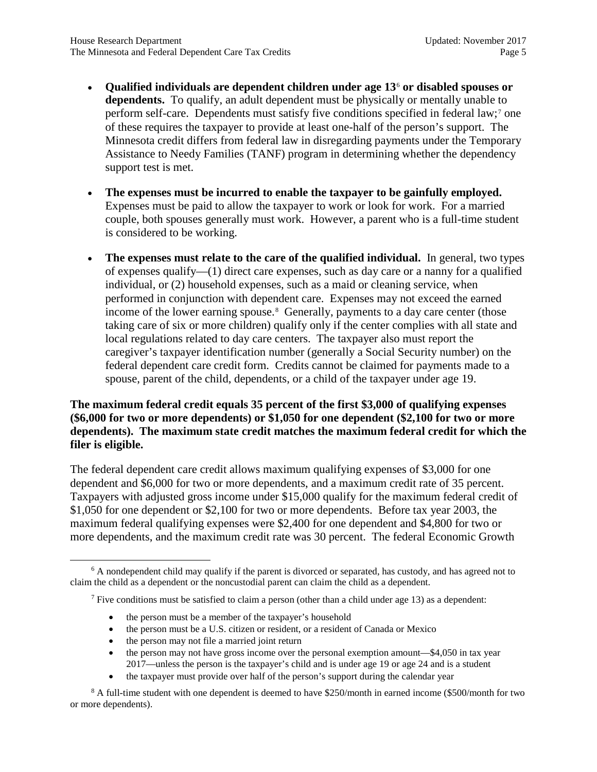- **Qualified individuals are dependent children under age 13**[6](#page-4-0) **or disabled spouses or dependents.** To qualify, an adult dependent must be physically or mentally unable to perform self-care. Dependents must satisfy five conditions specified in federal law;<sup>[7](#page-4-1)</sup> one of these requires the taxpayer to provide at least one-half of the person's support. The Minnesota credit differs from federal law in disregarding payments under the Temporary Assistance to Needy Families (TANF) program in determining whether the dependency support test is met.
- **The expenses must be incurred to enable the taxpayer to be gainfully employed.** Expenses must be paid to allow the taxpayer to work or look for work. For a married couple, both spouses generally must work. However, a parent who is a full-time student is considered to be working.
- **The expenses must relate to the care of the qualified individual.** In general, two types of expenses qualify—(1) direct care expenses, such as day care or a nanny for a qualified individual, or (2) household expenses, such as a maid or cleaning service, when performed in conjunction with dependent care. Expenses may not exceed the earned income of the lower earning spouse.<sup>[8](#page-4-2)</sup> Generally, payments to a day care center (those taking care of six or more children) qualify only if the center complies with all state and local regulations related to day care centers. The taxpayer also must report the caregiver's taxpayer identification number (generally a Social Security number) on the federal dependent care credit form. Credits cannot be claimed for payments made to a spouse, parent of the child, dependents, or a child of the taxpayer under age 19.

#### **The maximum federal credit equals 35 percent of the first \$3,000 of qualifying expenses (\$6,000 for two or more dependents) or \$1,050 for one dependent (\$2,100 for two or more dependents). The maximum state credit matches the maximum federal credit for which the filer is eligible.**

The federal dependent care credit allows maximum qualifying expenses of \$3,000 for one dependent and \$6,000 for two or more dependents, and a maximum credit rate of 35 percent. Taxpayers with adjusted gross income under \$15,000 qualify for the maximum federal credit of \$1,050 for one dependent or \$2,100 for two or more dependents. Before tax year 2003, the maximum federal qualifying expenses were \$2,400 for one dependent and \$4,800 for two or more dependents, and the maximum credit rate was 30 percent. The federal Economic Growth

- the person must be a member of the taxpayer's household
- the person must be a U.S. citizen or resident, or a resident of Canada or Mexico
- the person may not file a married joint return
- the person may not have gross income over the personal exemption amount—\$4,050 in tax year 2017—unless the person is the taxpayer's child and is under age 19 or age 24 and is a student
- the taxpayer must provide over half of the person's support during the calendar year

<span id="page-4-2"></span><sup>8</sup> A full-time student with one dependent is deemed to have \$250/month in earned income (\$500/month for two or more dependents).

<span id="page-4-1"></span><span id="page-4-0"></span><sup>&</sup>lt;sup>6</sup> A nondependent child may qualify if the parent is divorced or separated, has custody, and has agreed not to claim the child as a dependent or the noncustodial parent can claim the child as a dependent.

<sup>&</sup>lt;sup>7</sup> Five conditions must be satisfied to claim a person (other than a child under age 13) as a dependent: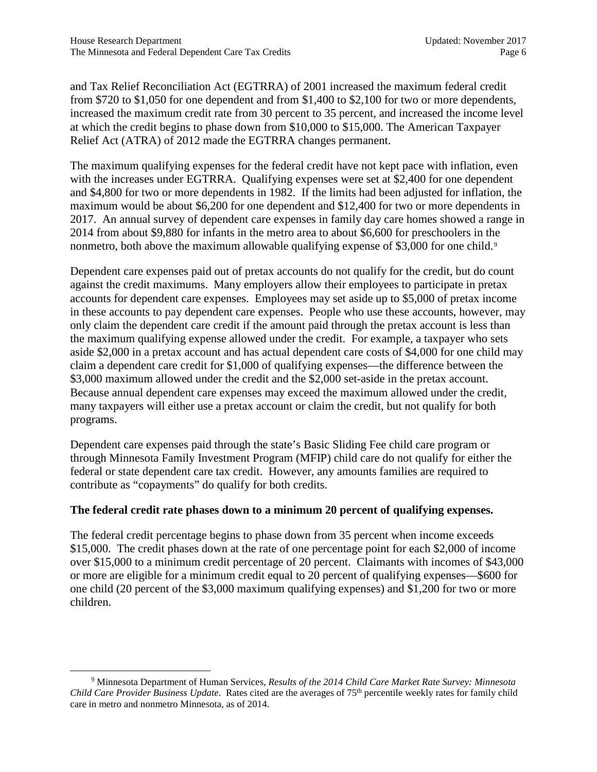and Tax Relief Reconciliation Act (EGTRRA) of 2001 increased the maximum federal credit from \$720 to \$1,050 for one dependent and from \$1,400 to \$2,100 for two or more dependents, increased the maximum credit rate from 30 percent to 35 percent, and increased the income level at which the credit begins to phase down from \$10,000 to \$15,000. The American Taxpayer Relief Act (ATRA) of 2012 made the EGTRRA changes permanent.

The maximum qualifying expenses for the federal credit have not kept pace with inflation, even with the increases under EGTRRA. Qualifying expenses were set at \$2,400 for one dependent and \$4,800 for two or more dependents in 1982. If the limits had been adjusted for inflation, the maximum would be about \$6,200 for one dependent and \$12,400 for two or more dependents in 2017. An annual survey of dependent care expenses in family day care homes showed a range in 2014 from about \$9,880 for infants in the metro area to about \$6,600 for preschoolers in the nonmetro, both above the maximum allowable qualifying expense of \$3,000 for one child.<sup>[9](#page-5-0)</sup>

Dependent care expenses paid out of pretax accounts do not qualify for the credit, but do count against the credit maximums. Many employers allow their employees to participate in pretax accounts for dependent care expenses. Employees may set aside up to \$5,000 of pretax income in these accounts to pay dependent care expenses. People who use these accounts, however, may only claim the dependent care credit if the amount paid through the pretax account is less than the maximum qualifying expense allowed under the credit. For example, a taxpayer who sets aside \$2,000 in a pretax account and has actual dependent care costs of \$4,000 for one child may claim a dependent care credit for \$1,000 of qualifying expenses—the difference between the \$3,000 maximum allowed under the credit and the \$2,000 set-aside in the pretax account. Because annual dependent care expenses may exceed the maximum allowed under the credit, many taxpayers will either use a pretax account or claim the credit, but not qualify for both programs.

Dependent care expenses paid through the state's Basic Sliding Fee child care program or through Minnesota Family Investment Program (MFIP) child care do not qualify for either the federal or state dependent care tax credit. However, any amounts families are required to contribute as "copayments" do qualify for both credits.

#### **The federal credit rate phases down to a minimum 20 percent of qualifying expenses.**

The federal credit percentage begins to phase down from 35 percent when income exceeds \$15,000. The credit phases down at the rate of one percentage point for each \$2,000 of income over \$15,000 to a minimum credit percentage of 20 percent. Claimants with incomes of \$43,000 or more are eligible for a minimum credit equal to 20 percent of qualifying expenses—\$600 for one child (20 percent of the \$3,000 maximum qualifying expenses) and \$1,200 for two or more children.

<span id="page-5-0"></span><sup>9</sup> Minnesota Department of Human Services, *Results of the 2014 Child Care Market Rate Survey: Minnesota Child Care Provider Business Update*. Rates cited are the averages of 75th percentile weekly rates for family child care in metro and nonmetro Minnesota, as of 2014.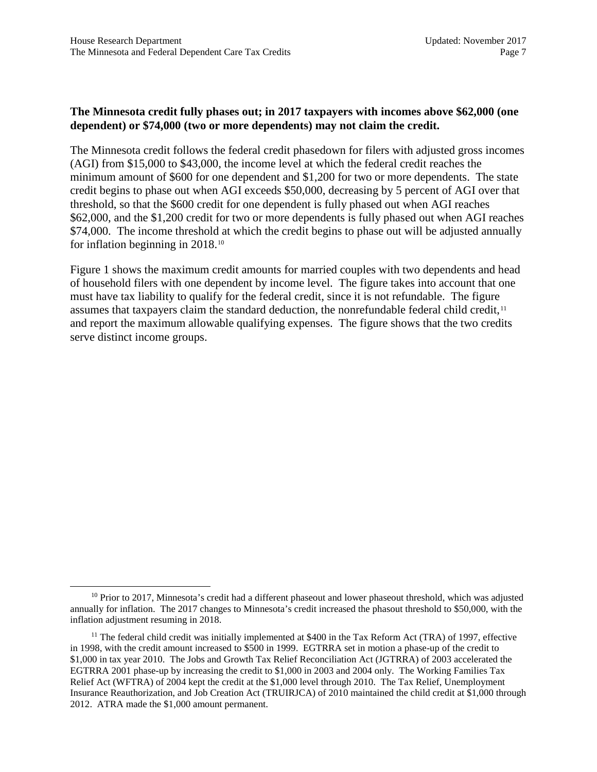#### **The Minnesota credit fully phases out; in 2017 taxpayers with incomes above \$62,000 (one dependent) or \$74,000 (two or more dependents) may not claim the credit.**

The Minnesota credit follows the federal credit phasedown for filers with adjusted gross incomes (AGI) from \$15,000 to \$43,000, the income level at which the federal credit reaches the minimum amount of \$600 for one dependent and \$1,200 for two or more dependents. The state credit begins to phase out when AGI exceeds \$50,000, decreasing by 5 percent of AGI over that threshold, so that the \$600 credit for one dependent is fully phased out when AGI reaches \$62,000, and the \$1,200 credit for two or more dependents is fully phased out when AGI reaches \$74,000. The income threshold at which the credit begins to phase out will be adjusted annually for inflation beginning in 2018.[10](#page-6-0)

Figure 1 shows the maximum credit amounts for married couples with two dependents and head of household filers with one dependent by income level. The figure takes into account that one must have tax liability to qualify for the federal credit, since it is not refundable. The figure assumes that taxpayers claim the standard deduction, the nonrefundable federal child credit,<sup>[11](#page-6-1)</sup> and report the maximum allowable qualifying expenses. The figure shows that the two credits serve distinct income groups.

<span id="page-6-0"></span> $10$  Prior to 2017, Minnesota's credit had a different phaseout and lower phaseout threshold, which was adjusted annually for inflation. The 2017 changes to Minnesota's credit increased the phasout threshold to \$50,000, with the inflation adjustment resuming in 2018.

<span id="page-6-1"></span><sup>&</sup>lt;sup>11</sup> The federal child credit was initially implemented at \$400 in the Tax Reform Act (TRA) of 1997, effective in 1998, with the credit amount increased to \$500 in 1999. EGTRRA set in motion a phase-up of the credit to \$1,000 in tax year 2010. The Jobs and Growth Tax Relief Reconciliation Act (JGTRRA) of 2003 accelerated the EGTRRA 2001 phase-up by increasing the credit to \$1,000 in 2003 and 2004 only. The Working Families Tax Relief Act (WFTRA) of 2004 kept the credit at the \$1,000 level through 2010. The Tax Relief, Unemployment Insurance Reauthorization, and Job Creation Act (TRUIRJCA) of 2010 maintained the child credit at \$1,000 through 2012. ATRA made the \$1,000 amount permanent.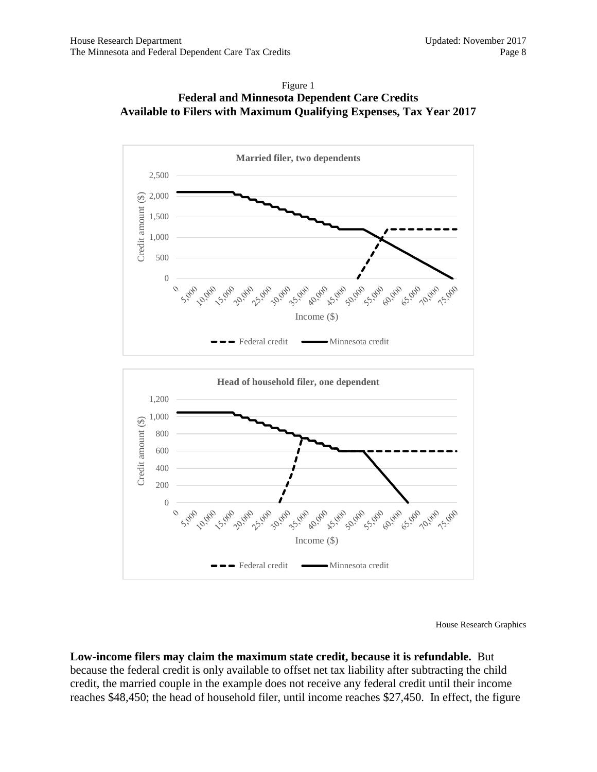



House Research Graphics

**Low-income filers may claim the maximum state credit, because it is refundable.** But because the federal credit is only available to offset net tax liability after subtracting the child credit, the married couple in the example does not receive any federal credit until their income reaches \$48,450; the head of household filer, until income reaches \$27,450. In effect, the figure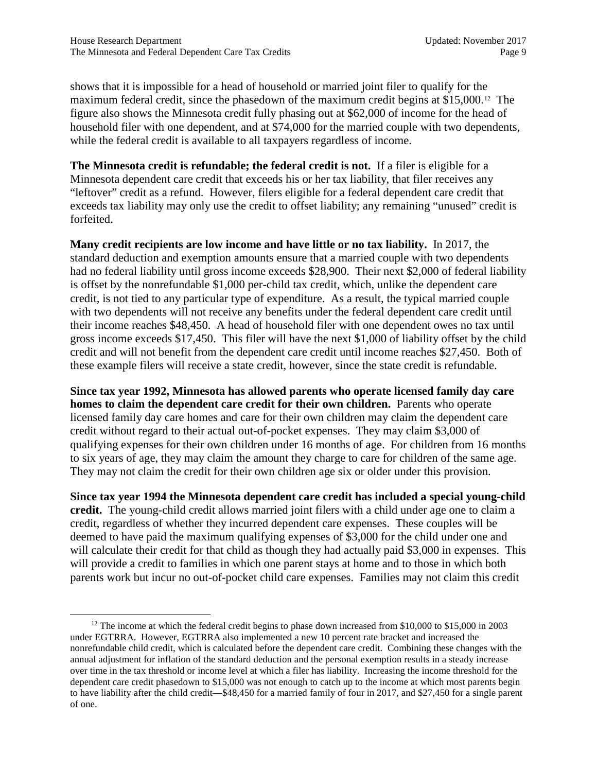shows that it is impossible for a head of household or married joint filer to qualify for the maximum federal credit, since the phasedown of the maximum credit begins at \$15,000.[12](#page-8-0) The figure also shows the Minnesota credit fully phasing out at \$62,000 of income for the head of household filer with one dependent, and at \$74,000 for the married couple with two dependents, while the federal credit is available to all taxpayers regardless of income.

**The Minnesota credit is refundable; the federal credit is not.** If a filer is eligible for a Minnesota dependent care credit that exceeds his or her tax liability, that filer receives any "leftover" credit as a refund. However, filers eligible for a federal dependent care credit that exceeds tax liability may only use the credit to offset liability; any remaining "unused" credit is forfeited.

**Many credit recipients are low income and have little or no tax liability.** In 2017, the standard deduction and exemption amounts ensure that a married couple with two dependents had no federal liability until gross income exceeds \$28,900. Their next \$2,000 of federal liability is offset by the nonrefundable \$1,000 per-child tax credit, which, unlike the dependent care credit, is not tied to any particular type of expenditure. As a result, the typical married couple with two dependents will not receive any benefits under the federal dependent care credit until their income reaches \$48,450. A head of household filer with one dependent owes no tax until gross income exceeds \$17,450. This filer will have the next \$1,000 of liability offset by the child credit and will not benefit from the dependent care credit until income reaches \$27,450. Both of these example filers will receive a state credit, however, since the state credit is refundable.

**Since tax year 1992, Minnesota has allowed parents who operate licensed family day care homes to claim the dependent care credit for their own children.** Parents who operate licensed family day care homes and care for their own children may claim the dependent care credit without regard to their actual out-of-pocket expenses. They may claim \$3,000 of qualifying expenses for their own children under 16 months of age. For children from 16 months to six years of age, they may claim the amount they charge to care for children of the same age. They may not claim the credit for their own children age six or older under this provision.

**Since tax year 1994 the Minnesota dependent care credit has included a special young-child credit.** The young-child credit allows married joint filers with a child under age one to claim a credit, regardless of whether they incurred dependent care expenses. These couples will be deemed to have paid the maximum qualifying expenses of \$3,000 for the child under one and will calculate their credit for that child as though they had actually paid \$3,000 in expenses. This will provide a credit to families in which one parent stays at home and to those in which both parents work but incur no out-of-pocket child care expenses. Families may not claim this credit

<span id="page-8-0"></span><sup>&</sup>lt;sup>12</sup> The income at which the federal credit begins to phase down increased from \$10,000 to \$15,000 in 2003 under EGTRRA. However, EGTRRA also implemented a new 10 percent rate bracket and increased the nonrefundable child credit, which is calculated before the dependent care credit. Combining these changes with the annual adjustment for inflation of the standard deduction and the personal exemption results in a steady increase over time in the tax threshold or income level at which a filer has liability. Increasing the income threshold for the dependent care credit phasedown to \$15,000 was not enough to catch up to the income at which most parents begin to have liability after the child credit—\$48,450 for a married family of four in 2017, and \$27,450 for a single parent of one.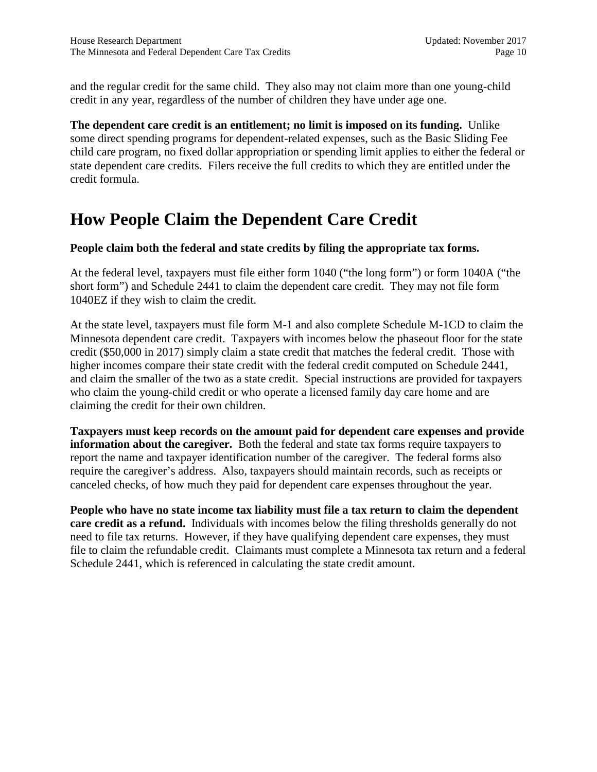and the regular credit for the same child. They also may not claim more than one young-child credit in any year, regardless of the number of children they have under age one.

**The dependent care credit is an entitlement; no limit is imposed on its funding.** Unlike some direct spending programs for dependent-related expenses, such as the Basic Sliding Fee child care program, no fixed dollar appropriation or spending limit applies to either the federal or state dependent care credits. Filers receive the full credits to which they are entitled under the credit formula.

# <span id="page-9-0"></span>**How People Claim the Dependent Care Credit**

#### **People claim both the federal and state credits by filing the appropriate tax forms.**

At the federal level, taxpayers must file either form 1040 ("the long form") or form 1040A ("the short form") and Schedule 2441 to claim the dependent care credit. They may not file form 1040EZ if they wish to claim the credit.

At the state level, taxpayers must file form M-1 and also complete Schedule M-1CD to claim the Minnesota dependent care credit. Taxpayers with incomes below the phaseout floor for the state credit (\$50,000 in 2017) simply claim a state credit that matches the federal credit. Those with higher incomes compare their state credit with the federal credit computed on Schedule 2441, and claim the smaller of the two as a state credit. Special instructions are provided for taxpayers who claim the young-child credit or who operate a licensed family day care home and are claiming the credit for their own children.

**Taxpayers must keep records on the amount paid for dependent care expenses and provide information about the caregiver.** Both the federal and state tax forms require taxpayers to report the name and taxpayer identification number of the caregiver. The federal forms also require the caregiver's address. Also, taxpayers should maintain records, such as receipts or canceled checks, of how much they paid for dependent care expenses throughout the year.

**People who have no state income tax liability must file a tax return to claim the dependent care credit as a refund.** Individuals with incomes below the filing thresholds generally do not need to file tax returns. However, if they have qualifying dependent care expenses, they must file to claim the refundable credit. Claimants must complete a Minnesota tax return and a federal Schedule 2441, which is referenced in calculating the state credit amount.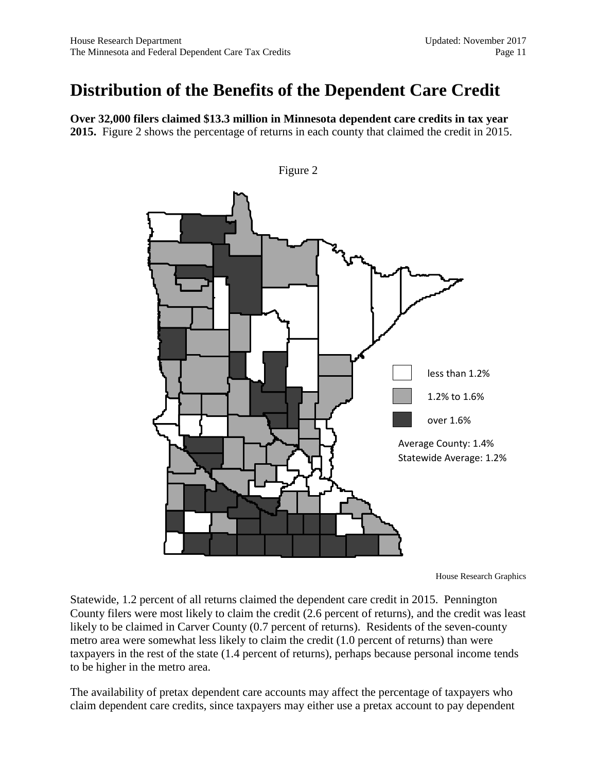### <span id="page-10-0"></span>**Distribution of the Benefits of the Dependent Care Credit**

**Over 32,000 filers claimed \$13.3 million in Minnesota dependent care credits in tax year 2015.** Figure 2 shows the percentage of returns in each county that claimed the credit in 2015.



Figure 2

House Research Graphics

Statewide, 1.2 percent of all returns claimed the dependent care credit in 2015. Pennington County filers were most likely to claim the credit (2.6 percent of returns), and the credit was least likely to be claimed in Carver County (0.7 percent of returns). Residents of the seven-county metro area were somewhat less likely to claim the credit (1.0 percent of returns) than were taxpayers in the rest of the state (1.4 percent of returns), perhaps because personal income tends to be higher in the metro area.

The availability of pretax dependent care accounts may affect the percentage of taxpayers who claim dependent care credits, since taxpayers may either use a pretax account to pay dependent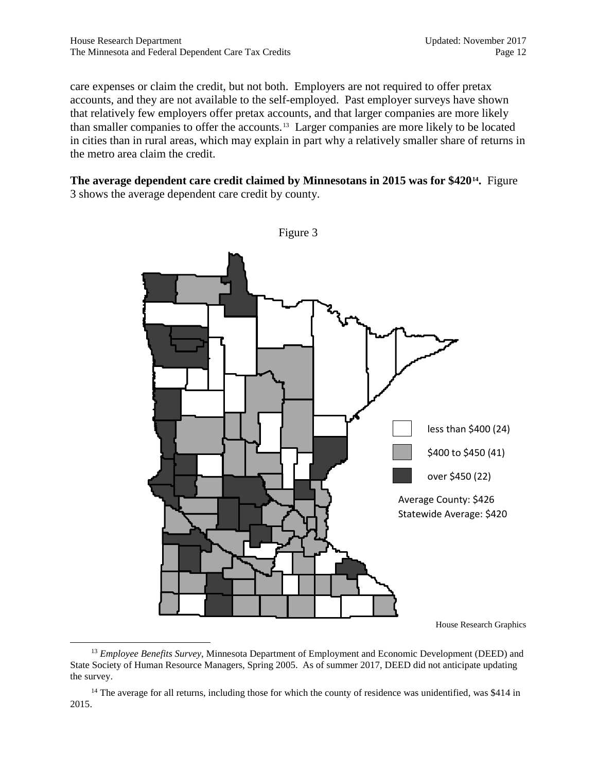care expenses or claim the credit, but not both. Employers are not required to offer pretax accounts, and they are not available to the self-employed. Past employer surveys have shown that relatively few employers offer pretax accounts, and that larger companies are more likely than smaller companies to offer the accounts.[13](#page-11-0) Larger companies are more likely to be located in cities than in rural areas, which may explain in part why a relatively smaller share of returns in the metro area claim the credit.

#### **The average dependent care credit claimed by Minnesotans in 2015 was for \$420[14.](#page-11-1)** Figure 3 shows the average dependent care credit by county.



<span id="page-11-0"></span><sup>13</sup> *Employee Benefits Survey*, Minnesota Department of Employment and Economic Development (DEED) and State Society of Human Resource Managers, Spring 2005. As of summer 2017, DEED did not anticipate updating the survey.

<span id="page-11-1"></span><sup>14</sup> The average for all returns, including those for which the county of residence was unidentified, was \$414 in 2015.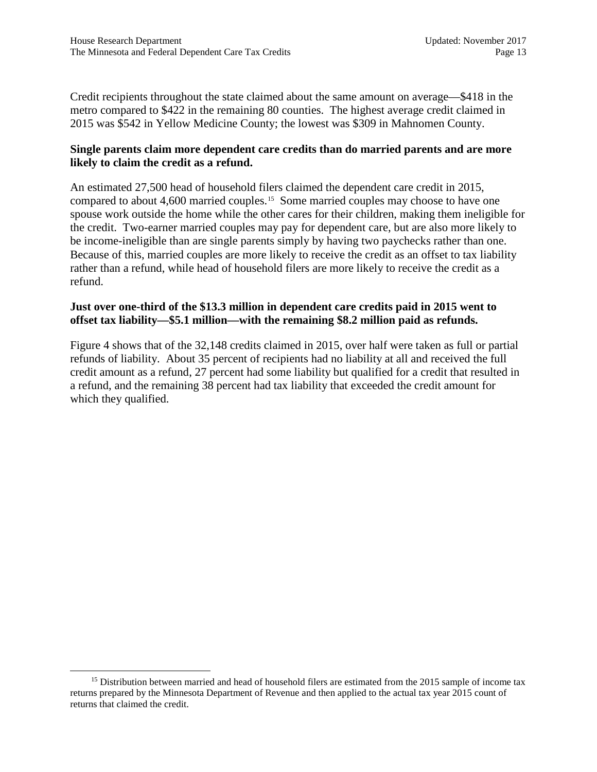Credit recipients throughout the state claimed about the same amount on average—\$418 in the metro compared to \$422 in the remaining 80 counties. The highest average credit claimed in 2015 was \$542 in Yellow Medicine County; the lowest was \$309 in Mahnomen County.

#### **Single parents claim more dependent care credits than do married parents and are more likely to claim the credit as a refund.**

An estimated 27,500 head of household filers claimed the dependent care credit in 2015, compared to about 4,600 married couples.[15](#page-12-0) Some married couples may choose to have one spouse work outside the home while the other cares for their children, making them ineligible for the credit. Two-earner married couples may pay for dependent care, but are also more likely to be income-ineligible than are single parents simply by having two paychecks rather than one. Because of this, married couples are more likely to receive the credit as an offset to tax liability rather than a refund, while head of household filers are more likely to receive the credit as a refund.

#### **Just over one-third of the \$13.3 million in dependent care credits paid in 2015 went to offset tax liability—\$5.1 million—with the remaining \$8.2 million paid as refunds.**

Figure 4 shows that of the 32,148 credits claimed in 2015, over half were taken as full or partial refunds of liability. About 35 percent of recipients had no liability at all and received the full credit amount as a refund, 27 percent had some liability but qualified for a credit that resulted in a refund, and the remaining 38 percent had tax liability that exceeded the credit amount for which they qualified.

<span id="page-12-0"></span><sup>&</sup>lt;sup>15</sup> Distribution between married and head of household filers are estimated from the 2015 sample of income tax returns prepared by the Minnesota Department of Revenue and then applied to the actual tax year 2015 count of returns that claimed the credit.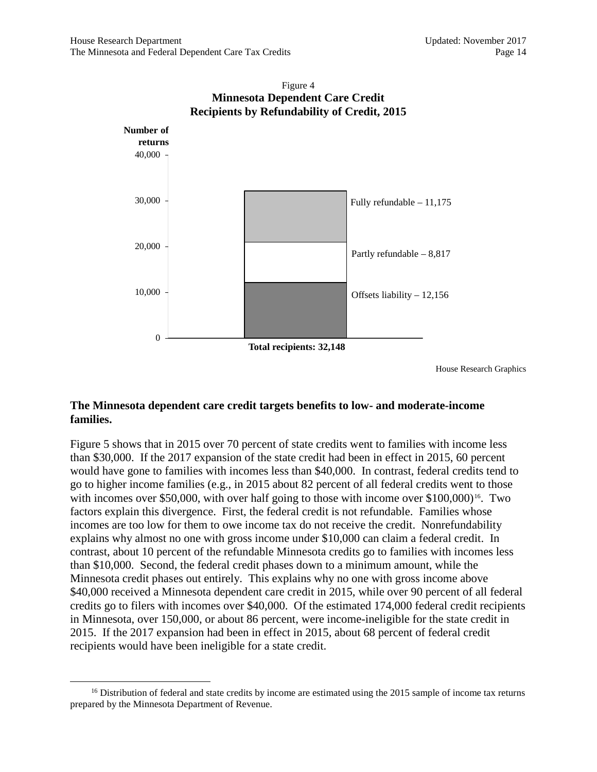

### Figure 4 **Minnesota Dependent Care Credit**

House Research Graphics

#### **The Minnesota dependent care credit targets benefits to low- and moderate-income families.**

Figure 5 shows that in 2015 over 70 percent of state credits went to families with income less than \$30,000. If the 2017 expansion of the state credit had been in effect in 2015, 60 percent would have gone to families with incomes less than \$40,000. In contrast, federal credits tend to go to higher income families (e.g., in 2015 about 82 percent of all federal credits went to those with incomes over \$50,000, with over half going to those with income over  $$100,000$ <sup>[16](#page-13-0)</sup>. Two factors explain this divergence. First, the federal credit is not refundable. Families whose incomes are too low for them to owe income tax do not receive the credit. Nonrefundability explains why almost no one with gross income under \$10,000 can claim a federal credit. In contrast, about 10 percent of the refundable Minnesota credits go to families with incomes less than \$10,000. Second, the federal credit phases down to a minimum amount, while the Minnesota credit phases out entirely. This explains why no one with gross income above \$40,000 received a Minnesota dependent care credit in 2015, while over 90 percent of all federal credits go to filers with incomes over \$40,000. Of the estimated 174,000 federal credit recipients in Minnesota, over 150,000, or about 86 percent, were income-ineligible for the state credit in 2015. If the 2017 expansion had been in effect in 2015, about 68 percent of federal credit recipients would have been ineligible for a state credit.

<span id="page-13-0"></span> $16$  Distribution of federal and state credits by income are estimated using the 2015 sample of income tax returns prepared by the Minnesota Department of Revenue.